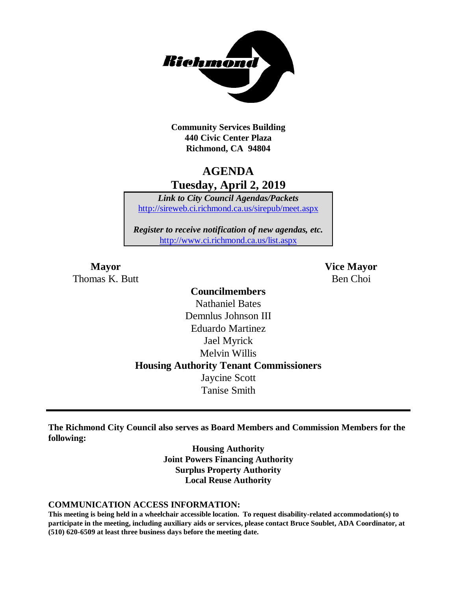

**Community Services Building 440 Civic Center Plaza Richmond, CA 94804**

## **AGENDA Tuesday, April 2, 2019**

*Link to City Council Agendas/Packets* <http://sireweb.ci.richmond.ca.us/sirepub/meet.aspx>

*Register to receive notification of new agendas, etc.* <http://www.ci.richmond.ca.us/list.aspx>

Thomas K. Butt Ben Choi

**Mayor Vice Mayor**

## **Councilmembers** Nathaniel Bates Demnlus Johnson III Eduardo Martinez Jael Myrick Melvin Willis **Housing Authority Tenant Commissioners** Jaycine Scott Tanise Smith

**The Richmond City Council also serves as Board Members and Commission Members for the following:**

> **Housing Authority Joint Powers Financing Authority Surplus Property Authority Local Reuse Authority**

#### **COMMUNICATION ACCESS INFORMATION:**

**This meeting is being held in a wheelchair accessible location. To request disability-related accommodation(s) to participate in the meeting, including auxiliary aids or services, please contact Bruce Soublet, ADA Coordinator, at (510) 620-6509 at least three business days before the meeting date.**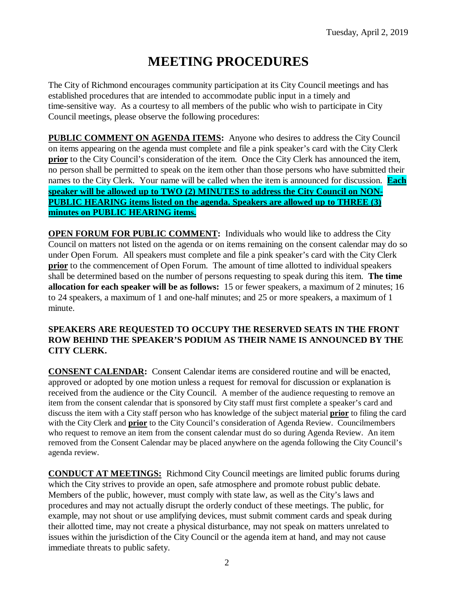# **MEETING PROCEDURES**

The City of Richmond encourages community participation at its City Council meetings and has established procedures that are intended to accommodate public input in a timely and time-sensitive way. As a courtesy to all members of the public who wish to participate in City Council meetings, please observe the following procedures:

**PUBLIC COMMENT ON AGENDA ITEMS:** Anyone who desires to address the City Council on items appearing on the agenda must complete and file a pink speaker's card with the City Clerk **prior** to the City Council's consideration of the item. Once the City Clerk has announced the item, no person shall be permitted to speak on the item other than those persons who have submitted their names to the City Clerk. Your name will be called when the item is announced for discussion. **Each speaker will be allowed up to TWO (2) MINUTES to address the City Council on NON-PUBLIC HEARING items listed on the agenda. Speakers are allowed up to THREE (3) minutes on PUBLIC HEARING items.**

**OPEN FORUM FOR PUBLIC COMMENT:** Individuals who would like to address the City Council on matters not listed on the agenda or on items remaining on the consent calendar may do so under Open Forum. All speakers must complete and file a pink speaker's card with the City Clerk **prior** to the commencement of Open Forum. The amount of time allotted to individual speakers shall be determined based on the number of persons requesting to speak during this item. **The time allocation for each speaker will be as follows:** 15 or fewer speakers, a maximum of 2 minutes; 16 to 24 speakers, a maximum of 1 and one-half minutes; and 25 or more speakers, a maximum of 1 minute.

### **SPEAKERS ARE REQUESTED TO OCCUPY THE RESERVED SEATS IN THE FRONT ROW BEHIND THE SPEAKER'S PODIUM AS THEIR NAME IS ANNOUNCED BY THE CITY CLERK.**

**CONSENT CALENDAR:** Consent Calendar items are considered routine and will be enacted, approved or adopted by one motion unless a request for removal for discussion or explanation is received from the audience or the City Council. A member of the audience requesting to remove an item from the consent calendar that is sponsored by City staff must first complete a speaker's card and discuss the item with a City staff person who has knowledge of the subject material **prior** to filing the card with the City Clerk and **prior** to the City Council's consideration of Agenda Review. Councilmembers who request to remove an item from the consent calendar must do so during Agenda Review. An item removed from the Consent Calendar may be placed anywhere on the agenda following the City Council's agenda review.

**CONDUCT AT MEETINGS:** Richmond City Council meetings are limited public forums during which the City strives to provide an open, safe atmosphere and promote robust public debate. Members of the public, however, must comply with state law, as well as the City's laws and procedures and may not actually disrupt the orderly conduct of these meetings. The public, for example, may not shout or use amplifying devices, must submit comment cards and speak during their allotted time, may not create a physical disturbance, may not speak on matters unrelated to issues within the jurisdiction of the City Council or the agenda item at hand, and may not cause immediate threats to public safety.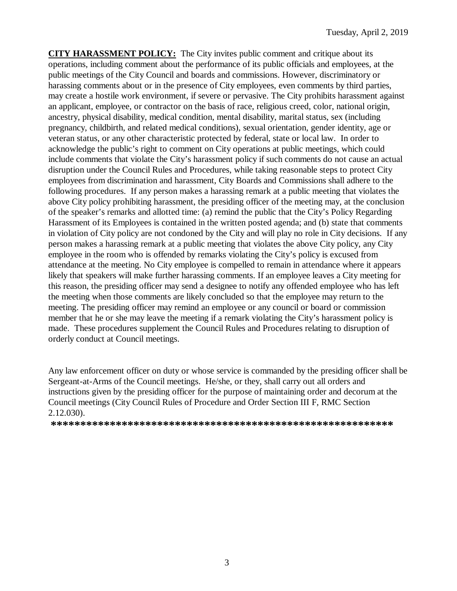**CITY HARASSMENT POLICY:** The City invites public comment and critique about its operations, including comment about the performance of its public officials and employees, at the public meetings of the City Council and boards and commissions. However, discriminatory or harassing comments about or in the presence of City employees, even comments by third parties, may create a hostile work environment, if severe or pervasive. The City prohibits harassment against an applicant, employee, or contractor on the basis of race, religious creed, color, national origin, ancestry, physical disability, medical condition, mental disability, marital status, sex (including pregnancy, childbirth, and related medical conditions), sexual orientation, gender identity, age or veteran status, or any other characteristic protected by federal, state or local law. In order to acknowledge the public's right to comment on City operations at public meetings, which could include comments that violate the City's harassment policy if such comments do not cause an actual disruption under the Council Rules and Procedures, while taking reasonable steps to protect City employees from discrimination and harassment, City Boards and Commissions shall adhere to the following procedures. If any person makes a harassing remark at a public meeting that violates the above City policy prohibiting harassment, the presiding officer of the meeting may, at the conclusion of the speaker's remarks and allotted time: (a) remind the public that the City's Policy Regarding Harassment of its Employees is contained in the written posted agenda; and (b) state that comments in violation of City policy are not condoned by the City and will play no role in City decisions. If any person makes a harassing remark at a public meeting that violates the above City policy, any City employee in the room who is offended by remarks violating the City's policy is excused from attendance at the meeting. No City employee is compelled to remain in attendance where it appears likely that speakers will make further harassing comments. If an employee leaves a City meeting for this reason, the presiding officer may send a designee to notify any offended employee who has left the meeting when those comments are likely concluded so that the employee may return to the meeting. The presiding officer may remind an employee or any council or board or commission member that he or she may leave the meeting if a remark violating the City's harassment policy is made. These procedures supplement the Council Rules and Procedures relating to disruption of orderly conduct at Council meetings.

Any law enforcement officer on duty or whose service is commanded by the presiding officer shall be Sergeant-at-Arms of the Council meetings. He/she, or they, shall carry out all orders and instructions given by the presiding officer for the purpose of maintaining order and decorum at the Council meetings (City Council Rules of Procedure and Order Section III F, RMC Section 2.12.030).

**\*\*\*\*\*\*\*\*\*\*\*\*\*\*\*\*\*\*\*\*\*\*\*\*\*\*\*\*\*\*\*\*\*\*\*\*\*\*\*\*\*\*\*\*\*\*\*\*\*\*\*\*\*\*\*\*\*\***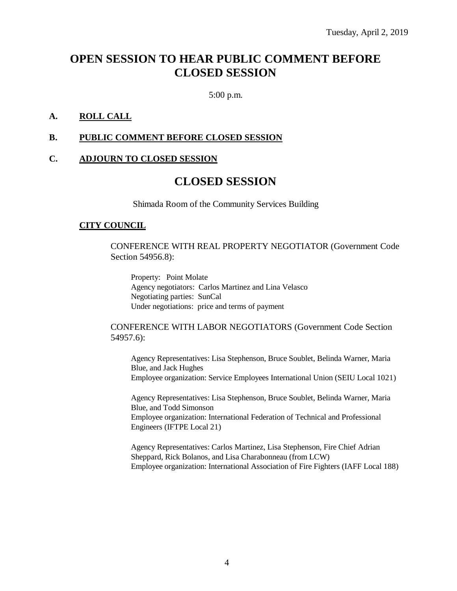## **OPEN SESSION TO HEAR PUBLIC COMMENT BEFORE CLOSED SESSION**

5:00 p.m.

### **A. ROLL CALL**

#### **B. PUBLIC COMMENT BEFORE CLOSED SESSION**

#### **C. ADJOURN TO CLOSED SESSION**

## **CLOSED SESSION**

Shimada Room of the Community Services Building

#### **CITY COUNCIL**

CONFERENCE WITH REAL PROPERTY NEGOTIATOR (Government Code Section 54956.8):

Property: Point Molate Agency negotiators: Carlos Martinez and Lina Velasco Negotiating parties: SunCal Under negotiations: price and terms of payment

#### CONFERENCE WITH LABOR NEGOTIATORS (Government Code Section 54957.6):

Agency Representatives: Lisa Stephenson, Bruce Soublet, Belinda Warner, Maria Blue, and Jack Hughes Employee organization: Service Employees International Union (SEIU Local 1021)

Agency Representatives: Lisa Stephenson, Bruce Soublet, Belinda Warner, Maria Blue, and Todd Simonson Employee organization: International Federation of Technical and Professional Engineers (IFTPE Local 21)

Agency Representatives: Carlos Martinez, Lisa Stephenson, Fire Chief Adrian Sheppard, Rick Bolanos, and Lisa Charabonneau (from LCW) Employee organization: International Association of Fire Fighters (IAFF Local 188)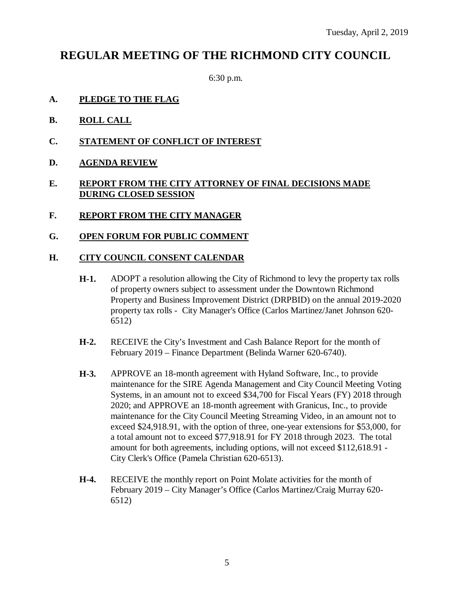## **REGULAR MEETING OF THE RICHMOND CITY COUNCIL**

6:30 p.m.

- **A. PLEDGE TO THE FLAG**
- **B. ROLL CALL**
- **C. STATEMENT OF CONFLICT OF INTEREST**
- **D. AGENDA REVIEW**

## **E. REPORT FROM THE CITY ATTORNEY OF FINAL DECISIONS MADE DURING CLOSED SESSION**

- **F. REPORT FROM THE CITY MANAGER**
- **G. OPEN FORUM FOR PUBLIC COMMENT**

### **H. CITY COUNCIL CONSENT CALENDAR**

- **H-1.** ADOPT a resolution allowing the City of Richmond to levy the property tax rolls of property owners subject to assessment under the Downtown Richmond Property and Business Improvement District (DRPBID) on the annual 2019-2020 property tax rolls - City Manager's Office (Carlos Martinez/Janet Johnson 620- 6512)
- **H-2.** RECEIVE the City's Investment and Cash Balance Report for the month of February 2019 – Finance Department (Belinda Warner 620-6740).
- **H-3.** APPROVE an 18-month agreement with Hyland Software, Inc., to provide maintenance for the SIRE Agenda Management and City Council Meeting Voting Systems, in an amount not to exceed \$34,700 for Fiscal Years (FY) 2018 through 2020; and APPROVE an 18-month agreement with Granicus, Inc., to provide maintenance for the City Council Meeting Streaming Video, in an amount not to exceed \$24,918.91, with the option of three, one-year extensions for \$53,000, for a total amount not to exceed \$77,918.91 for FY 2018 through 2023. The total amount for both agreements, including options, will not exceed \$112,618.91 - City Clerk's Office (Pamela Christian 620-6513).
- **H-4.** RECEIVE the monthly report on Point Molate activities for the month of February 2019 – City Manager's Office (Carlos Martinez/Craig Murray 620- 6512)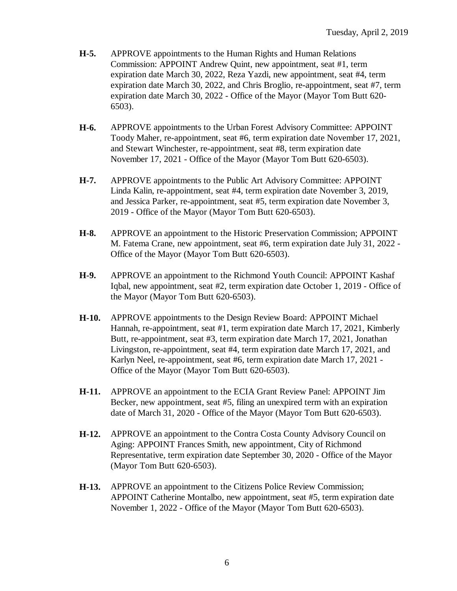- **H-5.** APPROVE appointments to the Human Rights and Human Relations Commission: APPOINT Andrew Quint, new appointment, seat #1, term expiration date March 30, 2022, Reza Yazdi, new appointment, seat #4, term expiration date March 30, 2022, and Chris Broglio, re-appointment, seat #7, term expiration date March 30, 2022 - Office of the Mayor (Mayor Tom Butt 620- 6503).
- **H-6.** APPROVE appointments to the Urban Forest Advisory Committee: APPOINT Toody Maher, re-appointment, seat #6, term expiration date November 17, 2021, and Stewart Winchester, re-appointment, seat #8, term expiration date November 17, 2021 - Office of the Mayor (Mayor Tom Butt 620-6503).
- **H-7.** APPROVE appointments to the Public Art Advisory Committee: APPOINT Linda Kalin, re-appointment, seat #4, term expiration date November 3, 2019, and Jessica Parker, re-appointment, seat #5, term expiration date November 3, 2019 - Office of the Mayor (Mayor Tom Butt 620-6503).
- **H-8.** APPROVE an appointment to the Historic Preservation Commission; APPOINT M. Fatema Crane, new appointment, seat #6, term expiration date July 31, 2022 - Office of the Mayor (Mayor Tom Butt 620-6503).
- **H-9.** APPROVE an appointment to the Richmond Youth Council: APPOINT Kashaf Iqbal, new appointment, seat #2, term expiration date October 1, 2019 - Office of the Mayor (Mayor Tom Butt 620-6503).
- **H-10.** APPROVE appointments to the Design Review Board: APPOINT Michael Hannah, re-appointment, seat #1, term expiration date March 17, 2021, Kimberly Butt, re-appointment, seat #3, term expiration date March 17, 2021, Jonathan Livingston, re-appointment, seat #4, term expiration date March 17, 2021, and Karlyn Neel, re-appointment, seat #6, term expiration date March 17, 2021 - Office of the Mayor (Mayor Tom Butt 620-6503).
- **H-11.** APPROVE an appointment to the ECIA Grant Review Panel: APPOINT Jim Becker, new appointment, seat #5, filing an unexpired term with an expiration date of March 31, 2020 - Office of the Mayor (Mayor Tom Butt 620-6503).
- **H-12.** APPROVE an appointment to the Contra Costa County Advisory Council on Aging: APPOINT Frances Smith, new appointment, City of Richmond Representative, term expiration date September 30, 2020 - Office of the Mayor (Mayor Tom Butt 620-6503).
- **H-13.** APPROVE an appointment to the Citizens Police Review Commission; APPOINT Catherine Montalbo, new appointment, seat #5, term expiration date November 1, 2022 - Office of the Mayor (Mayor Tom Butt 620-6503).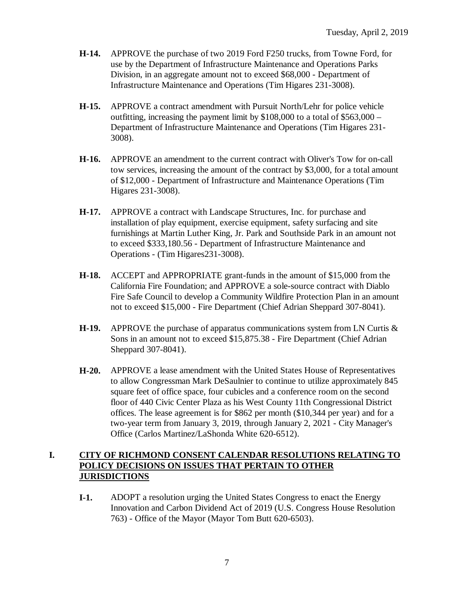- **H-14.** APPROVE the purchase of two 2019 Ford F250 trucks, from Towne Ford, for use by the Department of Infrastructure Maintenance and Operations Parks Division, in an aggregate amount not to exceed \$68,000 - Department of Infrastructure Maintenance and Operations (Tim Higares 231-3008).
- **H-15.** APPROVE a contract amendment with Pursuit North/Lehr for police vehicle outfitting, increasing the payment limit by  $$108,000$  to a total of  $$563,000$  – Department of Infrastructure Maintenance and Operations (Tim Higares 231- 3008).
- **H-16.** APPROVE an amendment to the current contract with Oliver's Tow for on-call tow services, increasing the amount of the contract by \$3,000, for a total amount of \$12,000 - Department of Infrastructure and Maintenance Operations (Tim Higares 231-3008).
- **H-17.** APPROVE a contract with Landscape Structures, Inc. for purchase and installation of play equipment, exercise equipment, safety surfacing and site furnishings at Martin Luther King, Jr. Park and Southside Park in an amount not to exceed \$333,180.56 - Department of Infrastructure Maintenance and Operations - (Tim Higares231-3008).
- **H-18.** ACCEPT and APPROPRIATE grant-funds in the amount of \$15,000 from the California Fire Foundation; and APPROVE a sole-source contract with Diablo Fire Safe Council to develop a Community Wildfire Protection Plan in an amount not to exceed \$15,000 - Fire Department (Chief Adrian Sheppard 307-8041).
- **H-19.** APPROVE the purchase of apparatus communications system from LN Curtis & Sons in an amount not to exceed \$15,875.38 - Fire Department (Chief Adrian Sheppard 307-8041).
- **H-20.** APPROVE a lease amendment with the United States House of Representatives to allow Congressman Mark DeSaulnier to continue to utilize approximately 845 square feet of office space, four cubicles and a conference room on the second floor of 440 Civic Center Plaza as his West County 11th Congressional District offices. The lease agreement is for \$862 per month (\$10,344 per year) and for a two-year term from January 3, 2019, through January 2, 2021 - City Manager's Office (Carlos Martinez/LaShonda White 620-6512).

## **I. CITY OF RICHMOND CONSENT CALENDAR RESOLUTIONS RELATING TO POLICY DECISIONS ON ISSUES THAT PERTAIN TO OTHER JURISDICTIONS**

**I-1.** ADOPT a resolution urging the United States Congress to enact the Energy Innovation and Carbon Dividend Act of 2019 (U.S. Congress House Resolution 763) - Office of the Mayor (Mayor Tom Butt 620-6503).